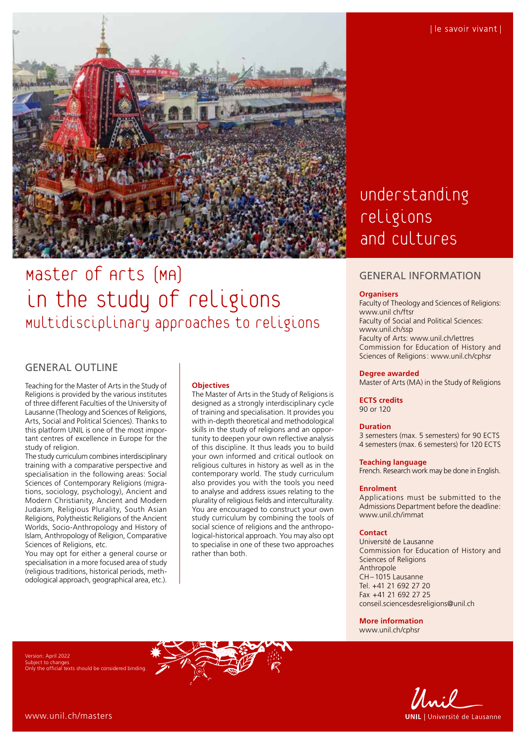

# Master of Arts (MA) in the Study of religions Multidisciplinary approaches to religions

# GENERAL OUTLINE

Teaching for the Master of Arts in the Study of Religions is provided by the various institutes of three different Faculties of the University of Lausanne (Theology and Sciences of Religions, Arts, Social and Political Sciences). Thanks to this platform UNIL is one of the most important centres of excellence in Europe for the study of religion.

The study curriculum combines interdisciplinary training with a comparative perspective and specialisation in the following areas: Social Sciences of Contemporary Religions (migrations, sociology, psychology), Ancient and Modern Christianity, Ancient and Modern Judaism, Religious Plurality, South Asian Religions, Polytheistic Religions of the Ancient Worlds, Socio-Anthropology and History of Islam, Anthropology of Religion, Comparative Sciences of Religions, etc.

You may opt for either a general course or specialisation in a more focused area of study (religious traditions, historical periods, methodological approach, geographical area, etc.).

# **Objectives**

The Master of Arts in the Study of Religions is designed as a strongly interdisciplinary cycle of training and specialisation. It provides you with in-depth theoretical and methodological skills in the study of religions and an opportunity to deepen your own reflective analysis of this discipline. It thus leads you to build your own informed and critical outlook on religious cultures in history as well as in the contemporary world. The study curriculum also provides you with the tools you need to analyse and address issues relating to the plurality of religious fields and interculturality. You are encouraged to construct your own study curriculum by combining the tools of social science of religions and the anthropological-historical approach. You may also opt to specialise in one of these two approaches rather than both.

# Understanding religions and cultures

# GENERAL INFORMATION

### **Organisers**

Faculty of Theology and Sciences of Religions: www.unil ch/ftsr Faculty of Social and Political Sciences: [www.unil.ch/ssp](http://www.unil.ch/ssp) Faculty of Arts: [www.unil.ch/lettres](http://www.unil.ch/lettres) Commission for Education of History and Sciences of Religions: [www.unil.ch/cphsr](http://www.unil.ch/cphsr)

# **Degree awarded**

Master of Arts (MA) in the Study of Religions

### **ECTS credits**

90 or 120

### **Duration**

3 semesters (max. 5 semesters) for 90 ECTS 4 semesters (max. 6 semesters) for 120 ECTS

### **Teaching language**

French. Research work may be done in English.

### **Enrolment**

Applications must be submitted to the Admissions Department before the deadline: [www.unil.ch/immat](http://www.unil.ch/immat)

# **Contact**

Université de Lausanne Commission for Education of History and Sciences of Religions Anthropole CH–1015 Lausanne Tel. +41 21 692 27 20 Fax +41 21 692 27 25 [conseil.sciencesdesreligions@unil.ch](mailto:conseil.sciencesdesreligions@unil.ch)

**More information** [www.unil.ch/cphsr](http://www.unil.ch/cphsr)